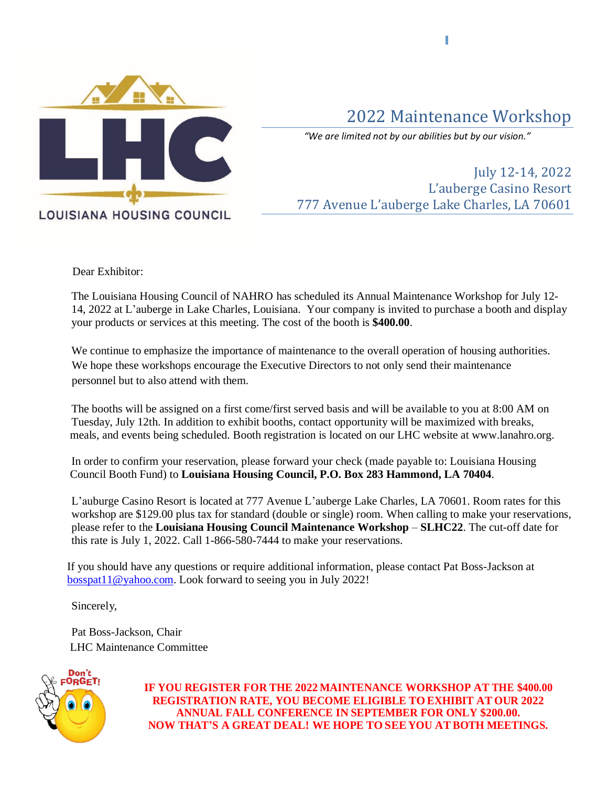

## 2022 Maintenance Workshop

*"We are limited not by our abilities but by our vision."*

July 12-14, 2022 L'auberge Casino Resort 777 Avenue L'auberge Lake Charles, LA 70601

Dear Exhibitor:

The Louisiana Housing Council of NAHRO has scheduled its Annual Maintenance Workshop for July 12- 14, 2022 at L'auberge in Lake Charles, Louisiana. Your company is invited to purchase a booth and display your products or services at this meeting. The cost of the booth is **\$400.00**.

We continue to emphasize the importance of maintenance to the overall operation of housing authorities. We hope these workshops encourage the Executive Directors to not only send their maintenance personnel but to also attend with them.

The booths will be assigned on a first come/first served basis and will be available to you at 8:00 AM on Tuesday, July 12th. In addition to exhibit booths, contact opportunity will be maximized with breaks, meals, and events being scheduled. Booth registration is located on our LHC website at www.lanahro.org.

In order to confirm your reservation, please forward your check (made payable to: Louisiana Housing Council Booth Fund) to **Louisiana Housing Council, P.O. Box 283 Hammond, LA 70404**.

L'auburge Casino Resort is located at 777 Avenue L'auberge Lake Charles, LA 70601. Room rates for this workshop are \$129.00 plus tax for standard (double or single) room. When calling to make your reservations, please refer to the **Louisiana Housing Council Maintenance Workshop** – **SLHC22**. The cut-off date for this rate is July 1, 2022. Call 1-866-580-7444 to make your reservations.

 If you should have any questions or require additional information, please contact Pat Boss-Jackson at [bosspat11@yahoo.com.](mailto:bosspat11@yahoo.com) Look forward to seeing you in July 2022!

Sincerely,

Pat Boss-Jackson, Chair LHC Maintenance Committee



**IF YOU REGISTER FOR THE 2022 MAINTENANCE WORKSHOP AT THE \$400.00 REGISTRATION RATE, YOU BECOME ELIGIBLE TO EXHIBIT AT OUR 2022 ANNUAL FALL CONFERENCE IN SEPTEMBER FOR ONLY \$200.00. NOW THAT'S A GREAT DEAL! WE HOPE TO SEE YOU ATBOTH MEETINGS.**

П